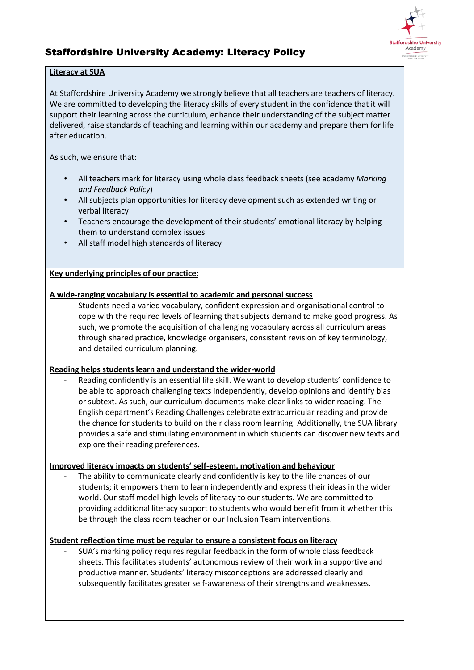

# Staffordshire University Academy: Literacy Policy

#### **Literacy at SUA**

At Staffordshire University Academy we strongly believe that all teachers are teachers of literacy. We are committed to developing the literacy skills of every student in the confidence that it will support their learning across the curriculum, enhance their understanding of the subject matter delivered, raise standards of teaching and learning within our academy and prepare them for life after education.

As such, we ensure that:

- All teachers mark for literacy using whole class feedback sheets (see academy *Marking and Feedback Policy*)
- All subjects plan opportunities for literacy development such as extended writing or verbal literacy
- Teachers encourage the development of their students' emotional literacy by helping them to understand complex issues
- All staff model high standards of literacy

#### **Key underlying principles of our practice:**

#### **A wide-ranging vocabulary is essential to academic and personal success**

- Students need a varied vocabulary, confident expression and organisational control to cope with the required levels of learning that subjects demand to make good progress. As such, we promote the acquisition of challenging vocabulary across all curriculum areas through shared practice, knowledge organisers, consistent revision of key terminology, and detailed curriculum planning.

#### **Reading helps students learn and understand the wider-world**

Reading confidently is an essential life skill. We want to develop students' confidence to be able to approach challenging texts independently, develop opinions and identify bias or subtext. As such, our curriculum documents make clear links to wider reading. The English department's Reading Challenges celebrate extracurricular reading and provide the chance for students to build on their class room learning. Additionally, the SUA library provides a safe and stimulating environment in which students can discover new texts and explore their reading preferences.

#### **Improved literacy impacts on students' self-esteem, motivation and behaviour**

The ability to communicate clearly and confidently is key to the life chances of our students; it empowers them to learn independently and express their ideas in the wider world. Our staff model high levels of literacy to our students. We are committed to providing additional literacy support to students who would benefit from it whether this be through the class room teacher or our Inclusion Team interventions.

#### **Student reflection time must be regular to ensure a consistent focus on literacy**

- SUA's marking policy requires regular feedback in the form of whole class feedback sheets. This facilitates students' autonomous review of their work in a supportive and productive manner. Students' literacy misconceptions are addressed clearly and subsequently facilitates greater self-awareness of their strengths and weaknesses.